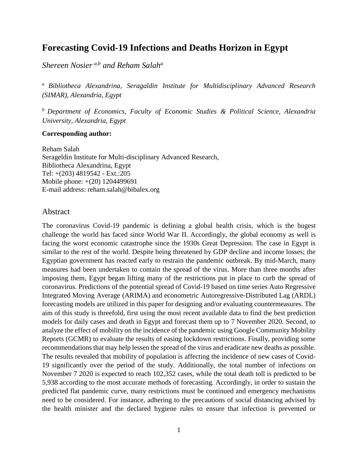### **Forecasting Covid-19 Infections and Deaths Horizon in Egypt**

*Shereen Nosier a,b and Reham Salah<sup>a</sup>*

*<sup>a</sup> Bibliotheca Alexandrina, Seragaldin Institute for Multidisciplinary Advanced Research (SIMAR), Alexandria, Egypt*

*<sup>b</sup> Department of Economics, Faculty of Economic Studies & Political Science, Alexandria University, Alexandria, Egypt*

#### **Corresponding author:**

Reham Salah Serageldin Institute for Multi-disciplinary Advanced Research, Bibliotheca Alexandrina, Egypt Tel: +(203) 4819542 - Ext.:205 Mobile phone: +(20) 1204499691 E-mail address: reham.salah@bibalex.org

#### Abstract

The coronavirus Covid-19 pandemic is defining a global health crisis, which is the hugest challenge the world has faced since World War II. Accordingly, the global economy as well is facing the worst economic catastrophe since the 1930s Great Depression. The case in Egypt is similar to the rest of the world. Despite being threatened by GDP decline and income losses; the Egyptian government has reacted early to restrain the pandemic outbreak. By mid-March, many measures had been undertaken to contain the spread of the virus. More than three months after imposing them, Egypt began lifting many of the restrictions put in place to curb the spread of coronavirus. Predictions of the potential spread of Covid-19 based on time series Auto Regressive Integrated Moving Average (ARIMA) and econometric Autoregressive-Distributed Lag (ARDL) forecasting models are utilized in this paper for designing and/or evaluating countermeasures. The aim of this study is threefold, first using the most recent available data to find the best prediction models for daily cases and death in Egypt and forecast them up to 7 November 2020. Second, to analyze the effect of mobility on the incidence of the pandemic using Google Community Mobility Reports (GCMR) to evaluate the results of easing lockdown restrictions. Finally, providing some recommendations that may help lessen the spread of the virus and eradicate new deaths as possible. The results revealed that mobility of population is affecting the incidence of new cases of Covid-19 significantly over the period of the study. Additionally, the total number of infections on November 7 2020 is expected to reach 102,352 cases, while the total death toll is predicted to be 5,938 according to the most accurate methods of forecasting. Accordingly, in order to sustain the predicted flat pandemic curve, many restrictions must be continued and emergency mechanisms need to be considered. For instance, adhering to the precautions of social distancing advised by the health minister and the declared hygiene rules to ensure that infection is prevented or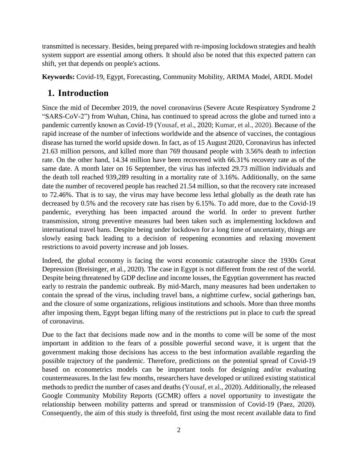transmitted is necessary. Besides, being prepared with re-imposing lockdown strategies and health system support are essential among others. It should also be noted that this expected pattern can shift, yet that depends on people's actions.

**Keywords:** Covid-19, Egypt, Forecasting, Community Mobility, ARIMA Model, ARDL Model

## **1. Introduction**

Since the mid of December 2019, the novel coronavirus (Severe Acute Respiratory Syndrome 2 "SARS-CoV-2") from Wuhan, China, has continued to spread across the globe and turned into a pandemic currently known as Covid-19 (Yousaf, et al., 2020; Kumar, et al., 2020). Because of the rapid increase of the number of infections worldwide and the absence of vaccines, the contagious disease has turned the world upside down. In fact, as of 15 August 2020, Coronavirus has infected 21.63 million persons, and killed more than 769 thousand people with 3.56% death to infection rate. On the other hand, 14.34 million have been recovered with 66.31% recovery rate as of the same date. A month later on 16 September, the virus has infected 29.73 million individuals and the death toll reached 939,289 resulting in a mortality rate of 3.16%. Additionally, on the same date the number of recovered people has reached 21.54 million, so that the recovery rate increased to 72.46%. That is to say, the virus may have become less lethal globally as the death rate has decreased by 0.5% and the recovery rate has risen by 6.15%. To add more, due to the Covid-19 pandemic, everything has been impacted around the world. In order to prevent further transmission, strong preventive measures had been taken such as implementing lockdown and international travel bans. Despite being under lockdown for a long time of uncertainty, things are slowly easing back leading to a decision of reopening economies and relaxing movement restrictions to avoid poverty increase and job losses.

Indeed, the global economy is facing the worst economic catastrophe since the 1930s Great Depression (Breisinger, et al., 2020). The case in Egypt is not different from the rest of the world. Despite being threatened by GDP decline and income losses, the Egyptian government has reacted early to restrain the pandemic outbreak. By mid-March, many measures had been undertaken to contain the spread of the virus, including travel bans, a nighttime curfew, social gatherings ban, and the closure of some organizations, religious institutions and schools. More than three months after imposing them, Egypt began lifting many of the restrictions put in place to curb the spread of coronavirus.

Due to the fact that decisions made now and in the months to come will be some of the most important in addition to the fears of a possible powerful second wave, it is urgent that the government making those decisions has access to the best information available regarding the possible trajectory of the pandemic. Therefore, predictions on the potential spread of Covid-19 based on econometrics models can be important tools for designing and/or evaluating countermeasures.In the last few months, researchers have developed or utilized existing statistical methods to predict the number of cases and deaths (Yousaf, et al., 2020). Additionally, the released Google Community Mobility Reports (GCMR) offers a novel opportunity to investigate the relationship between mobility patterns and spread or transmission of Covid-19 (Paez, 2020). Consequently, the aim of this study is threefold, first using the most recent available data to find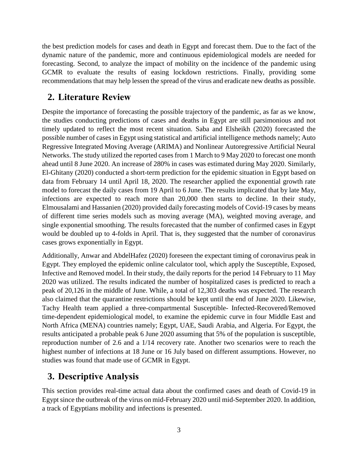the best prediction models for cases and death in Egypt and forecast them. Due to the fact of the dynamic nature of the pandemic, more and continuous epidemiological models are needed for forecasting. Second, to analyze the impact of mobility on the incidence of the pandemic using GCMR to evaluate the results of easing lockdown restrictions. Finally, providing some recommendations that may help lessen the spread of the virus and eradicate new deaths as possible.

## **2. Literature Review**

Despite the importance of forecasting the possible trajectory of the pandemic, as far as we know, the studies conducting predictions of cases and deaths in Egypt are still parsimonious and not timely updated to reflect the most recent situation. Saba and Elsheikh (2020) forecasted the possible number of cases in Egypt using statistical and artificial intelligence methods namely; Auto Regressive Integrated Moving Average (ARIMA) and Nonlinear Autoregressive Artificial Neural Networks. The study utilized the reported cases from 1 March to 9 May 2020 to forecast one month ahead until 8 June 2020. An increase of 280% in cases was estimated during May 2020. Similarly, El-Ghitany (2020) conducted a short-term prediction for the epidemic situation in Egypt based on data from February 14 until April 18, 2020. The researcher applied the exponential growth rate model to forecast the daily cases from 19 April to 6 June. The results implicated that by late May, infections are expected to reach more than 20,000 then starts to decline. In their study, Elmousalami and Hassanien (2020) provided daily forecasting models of Covid-19 cases by means of different time series models such as moving average (MA), weighted moving average, and single exponential smoothing. The results forecasted that the number of confirmed cases in Egypt would be doubled up to 4-folds in April. That is, they suggested that the number of coronavirus cases grows exponentially in Egypt.

Additionally, Anwar and AbdelHafez (2020) foreseen the expectant timing of coronavirus peak in Egypt. They employed the epidemic online calculator tool, which apply the Susceptible, Exposed, Infective and Removed model. In their study, the daily reports for the period 14 February to 11 May 2020 was utilized. The results indicated the number of hospitalized cases is predicted to reach a peak of 20,126 in the middle of June. While, a total of 12,303 deaths was expected. The research also claimed that the quarantine restrictions should be kept until the end of June 2020. Likewise, Tachy Health team applied a three-compartmental Susceptible- Infected-Recovered/Removed time-dependent epidemiological model, to examine the epidemic curve in four Middle East and North Africa (MENA) countries namely; Egypt, UAE, Saudi Arabia, and Algeria. For Egypt, the results anticipated a probable peak 6 June 2020 assuming that 5% of the population is susceptible, reproduction number of 2.6 and a 1/14 recovery rate. Another two scenarios were to reach the highest number of infections at 18 June or 16 July based on different assumptions. However, no studies was found that made use of GCMR in Egypt.

## **3. Descriptive Analysis**

This section provides real-time actual data about the confirmed cases and death of Covid-19 in Egypt since the outbreak of the virus on mid-February 2020 until mid-September 2020. In addition, a track of Egyptians mobility and infections is presented.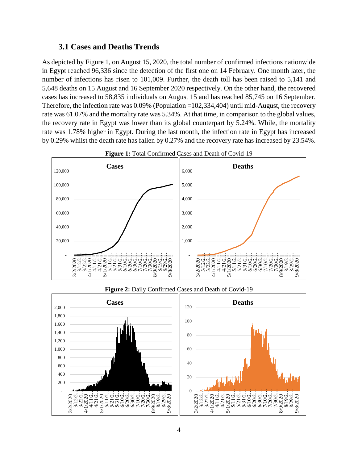#### **3.1 Cases and Deaths Trends**

As depicted by Figure 1, on August 15, 2020, the total number of confirmed infections nationwide in Egypt reached 96,336 since the detection of the first one on 14 February. One month later, the number of infections has risen to 101,009. Further, the death toll has been raised to 5,141 and 5,648 deaths on 15 August and 16 September 2020 respectively. On the other hand, the recovered cases has increased to 58,835 individuals on August 15 and has reached 85,745 on 16 September. Therefore, the infection rate was 0.09% (Population =102,334,404) until mid-August, the recovery rate was 61.07% and the mortality rate was 5.34%. At that time, in comparison to the global values, the recovery rate in Egypt was lower than its global counterpart by 5.24%. While, the mortality rate was 1.78% higher in Egypt. During the last month, the infection rate in Egypt has increased by 0.29% whilst the death rate has fallen by 0.27% and the recovery rate has increased by 23.54%.







#### **Figure 2:** Daily Confirmed Cases and Death of Covid-19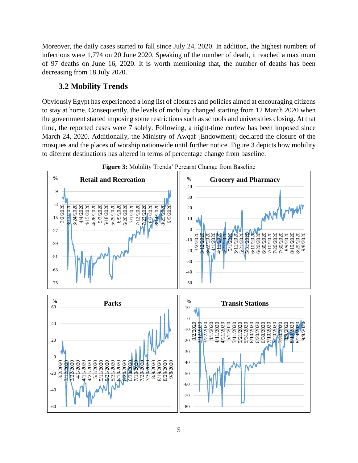Moreover, the daily cases started to fall since July 24, 2020. In addition, the highest numbers of infections were 1,774 on 20 June 2020. Speaking of the number of death, it reached a maximum of 97 deaths on June 16, 2020. It is worth mentioning that, the number of deaths has been decreasing from 18 July 2020.

### **3.2 Mobility Trends**

Obviously Egypt has experienced a long list of closures and policies aimed at encouraging citizens to stay at home. Consequently, the levels of mobility changed starting from 12 March 2020 when the government started imposing some restrictions such as schools and universities closing. At that time, the reported cases were 7 solely. Following, a night-time curfew has been imposed since March 24, 2020. Additionally, the Ministry of Awqaf [Endowment] declared the closure of the mosques and the places of worship nationwide until further notice. Figure 3 depicts how mobility to diferent destinations has altered in terms of percentage change from baseline.



5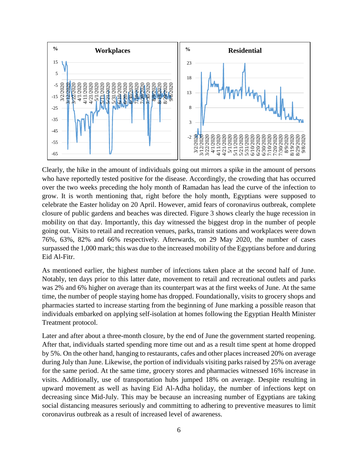

Clearly, the hike in the amount of individuals going out mirrors a spike in the amount of persons who have reportedly tested positive for the disease. Accordingly, the crowding that has occurred over the two weeks preceding the holy month of Ramadan has lead the curve of the infection to grow. It is worth mentioning that, right before the holy month, Egyptians were supposed to celebrate the Easter holiday on 20 April. However, amid fears of coronavirus outbreak, complete closure of public gardens and beaches was directed. Figure 3 shows clearly the huge recession in mobility on that day. Importantly, this day witnessed the biggest drop in the number of people going out. Visits to retail and recreation venues, parks, transit stations and workplaces were down 76%, 63%, 82% and 66% respectively. Afterwards, on 29 May 2020, the number of cases surpassed the 1,000 mark; this was due to the increased mobility of the Egyptians before and during Eid Al-Fitr.

As mentioned earlier, the highest number of infections taken place at the second half of June. Notably, ten days prior to this latter date, movement to retail and recreational outlets and parks was 2% and 6% higher on average than its counterpart was at the first weeks of June. At the same time, the number of people staying home has dropped. Foundationally, visits to grocery shops and pharmacies started to increase starting from the beginning of June marking a possible reason that individuals embarked on applying self-isolation at homes following the Egyptian Health Minister Treatment protocol.

Later and after about a three-month closure, by the end of June the government started reopening. After that, individuals started spending more time out and as a result time spent at home dropped by 5%. On the other hand, hanging to restaurants, cafes and other places increased 20% on average during July than June. Likewise, the portion of individuals visiting parks raised by 25% on average for the same period. At the same time, grocery stores and pharmacies witnessed 16% increase in visits. Additionally, use of transportation hubs jumped 18% on average. Despite resulting in upward movement as well as having Eid Al-Adha holiday, the number of infections kept on decreasing since Mid-July. This may be because an increasing number of Egyptians are taking social distancing measures seriously and committing to adhering to preventive measures to limit coronavirus outbreak as a result of increased level of awareness.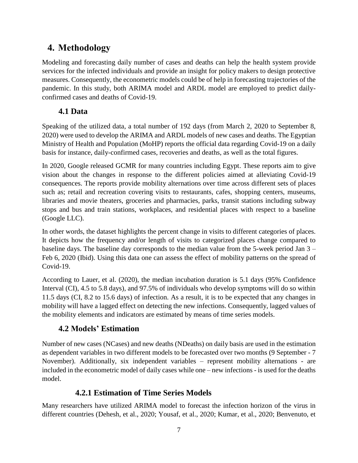# **4. Methodology**

Modeling and forecasting daily number of cases and deaths can help the health system provide services for the infected individuals and provide an insight for policy makers to design protective measures. Consequently, the econometric models could be of help in forecasting trajectories of the pandemic. In this study, both ARIMA model and ARDL model are employed to predict dailyconfirmed cases and deaths of Covid-19.

## **4.1 Data**

Speaking of the utilized data, a total number of 192 days (from March 2, 2020 to September 8, 2020) were used to develop the ARIMA and ARDL models of new cases and deaths. The Egyptian Ministry of Health and Population (MoHP) reports the official data regarding Covid-19 on a daily basis for instance, daily-confirmed cases, recoveries and deaths, as well as the total figures.

In 2020, Google released GCMR for many countries including Egypt. These reports aim to give vision about the changes in response to the different policies aimed at alleviating Covid-19 consequences. The reports provide mobility alternations over time across different sets of places such as; retail and recreation covering visits to restaurants, cafes, shopping centers, museums, libraries and movie theaters, groceries and pharmacies, parks, transit stations including subway stops and bus and train stations, workplaces, and residential places with respect to a baseline (Google LLC).

In other words, the dataset highlights the percent change in visits to different categories of places. It depicts how the frequency and/or length of visits to categorized places change compared to baseline days. The baseline day corresponds to the median value from the 5-week period Jan 3 – Feb 6, 2020 (Ibid). Using this data one can assess the effect of mobility patterns on the spread of Covid-19.

According to Lauer, et al. (2020), the median incubation duration is 5.1 days (95% Confidence Interval (CI), 4.5 to 5.8 days), and 97.5% of individuals who develop symptoms will do so within 11.5 days (CI, 8.2 to 15.6 days) of infection. As a result, it is to be expected that any changes in mobility will have a lagged effect on detecting the new infections. Consequently, lagged values of the mobility elements and indicators are estimated by means of time series models.

## **4.2 Models' Estimation**

Number of new cases (NCases) and new deaths (NDeaths) on daily basis are used in the estimation as dependent variables in two different models to be forecasted over two months (9 September - 7 November). Additionally, six independent variables – represent mobility alternations - are included in the econometric model of daily cases while one – new infections - is used for the deaths model.

## **4.2.1 Estimation of Time Series Models**

Many researchers have utilized ARIMA model to forecast the infection horizon of the virus in different countries (Dehesh, et al., 2020; Yousaf, et al., 2020; Kumar, et al., 2020; Benvenuto, et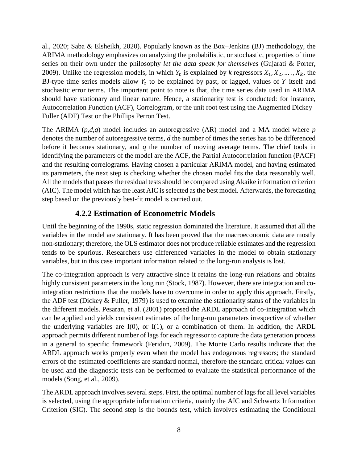al., 2020; Saba & Elsheikh, 2020). Popularly known as the Box–Jenkins (BJ) methodology, the ARIMA methodology emphasizes on analyzing the probabilistic, or stochastic, properties of time series on their own under the philosophy *let the data speak for themselves* (Gujarati & Porter, 2009). Unlike the regression models, in which  $Y_t$  is explained by *k* regressors  $X_1, X_2, ..., X_k$ , the BJ-type time series models allow  $Y_t$  to be explained by past, or lagged, values of Y itself and stochastic error terms. The important point to note is that, the time series data used in ARIMA should have stationary and linear nature. Hence, a stationarity test is conducted: for instance, Autocorrelation Function (ACF), Correlogram, or the unit root test using the Augmented Dickey– Fuller (ADF) Test or the Phillips Perron Test.

The ARIMA (*p,d,q*) model includes an autoregressive (AR) model and a MA model where *p*  denotes the number of autoregressive terms, *d* the number of times the series has to be differenced before it becomes stationary, and *q* the number of moving average terms. The chief tools in identifying the parameters of the model are the ACF, the Partial Autocorrelation function (PACF) and the resulting correlograms. Having chosen a particular ARIMA model, and having estimated its parameters, the next step is checking whether the chosen model fits the data reasonably well. All the models that passes the residual tests should be compared using Akaike information criterion (AIC). The model which has the least AIC is selected as the best model. Afterwards, the forecasting step based on the previously best-fit model is carried out.

### **4.2.2 Estimation of Econometric Models**

Until the beginning of the 1990s, static regression dominated the literature. It assumed that all the variables in the model are stationary. It has been proved that the macroeconomic data are mostly non-stationary; therefore, the OLS estimator does not produce reliable estimates and the regression tends to be spurious. Researchers use differenced variables in the model to obtain stationary variables, but in this case important information related to the long-run analysis is lost.

The co-integration approach is very attractive since it retains the long-run relations and obtains highly consistent parameters in the long run (Stock, 1987). However, there are integration and cointegration restrictions that the models have to overcome in order to apply this approach. Firstly, the ADF test (Dickey & Fuller, 1979) is used to examine the stationarity status of the variables in the different models. Pesaran, et al. (2001) proposed the ARDL approach of co-integration which can be applied and yields consistent estimates of the long-run parameters irrespective of whether the underlying variables are I(0), or I(1), or a combination of them. In addition, the ARDL approach permits different number of lags for each regressor to capture the data generation process in a general to specific framework (Feridun, 2009). The Monte Carlo results indicate that the ARDL approach works properly even when the model has endogenous regressors; the standard errors of the estimated coefficients are standard normal, therefore the standard critical values can be used and the diagnostic tests can be performed to evaluate the statistical performance of the models (Song, et al., 2009).

The ARDL approach involves several steps. First, the optimal number of lags for all level variables is selected, using the appropriate information criteria, mainly the AIC and Schwartz Information Criterion (SIC). The second step is the bounds test, which involves estimating the Conditional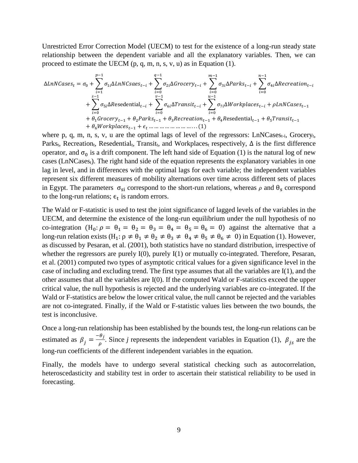Unrestricted Error Correction Model (UECM) to test for the existence of a long-run steady state relationship between the dependent variable and all the explanatory variables. Then, we can proceed to estimate the UECM (p, q, m, n, s, v, u) as in Equation (1).

∆ = <sup>0</sup> + ∑1∆− −1 =1 + ∑2∆− −1 =0 + ∑ 3∆− −1 =0 + ∑4∆− −1 =0 + ∑5∆esedential− −1 =0 + ∑6∆− −1 =0 + ∑7∆− −1 =0 +−1 + 1−1 + 2−1 + 3−1 + 4esedential−1 +5−1 + 6−1 + … … … … … … … … . . . (1)

where p, q, m, n, s, v, u are the optimal lags of level of the regressors:  $LnNCases_{t-i}$ , Grocery<sub>t</sub>, Parks<sub>t</sub>, Recreation<sub>t</sub>, Resedential<sub>t</sub>, Transit<sub>t</sub>, and Workplaces<sub>t</sub> respectively,  $\Delta$  is the first difference operator, and  $\sigma_0$  is a drift component. The left hand side of Equation (1) is the natural log of new cases (LnNCases<sub>t</sub>). The right hand side of the equation represents the explanatory variables in one lag in level, and in differences with the optimal lags for each variable; the independent variables represent six different measures of mobility alternations over time across different sets of places in Egypt. The parameters  $\sigma_{si}$  correspond to the short-run relations, whereas  $\rho$  and  $\theta_s$  correspond to the long-run relations;  $\epsilon_t$  is random errors.

The Wald or F-statistic is used to test the joint significance of lagged levels of the variables in the UECM, and determine the existence of the long-run equilibrium under the null hypothesis of no co-integration  $(H_0: \rho = \theta_1 = \theta_2 = \theta_3 = \theta_4 = \theta_5 = \theta_6 = 0)$  against the alternative that a long-run relation exists (H<sub>1</sub>:  $\rho \neq \theta_1 \neq \theta_2 \neq \theta_3 \neq \theta_4 \neq \theta_5 \neq \theta_6 \neq 0$ ) in Equation (1). However, as discussed by Pesaran, et al. (2001), both statistics have no standard distribution, irrespective of whether the regressors are purely I(0), purely I(1) or mutually co-integrated. Therefore, Pesaran, et al. (2001) computed two types of asymptotic critical values for a given significance level in the case of including and excluding trend. The first type assumes that all the variables are I(1), and the other assumes that all the variables are I(0). If the computed Wald or F-statistics exceed the upper critical value, the null hypothesis is rejected and the underlying variables are co-integrated. If the Wald or F-statistics are below the lower critical value, the null cannot be rejected and the variables are not co-integrated. Finally, if the Wald or F-statistic values lies between the two bounds, the test is inconclusive.

Once a long-run relationship has been established by the bounds test, the long-run relations can be estimated as  $\beta_j = \frac{-\theta_j}{\rho}$  $\frac{\partial f}{\partial \rho}$ . Since *j* represents the independent variables in Equation (1),  $\beta_{js}$  are the long-run coefficients of the different independent variables in the equation.

Finally, the models have to undergo several statistical checking such as autocorrelation, heteroscedasticity and stability test in order to ascertain their statistical reliability to be used in forecasting.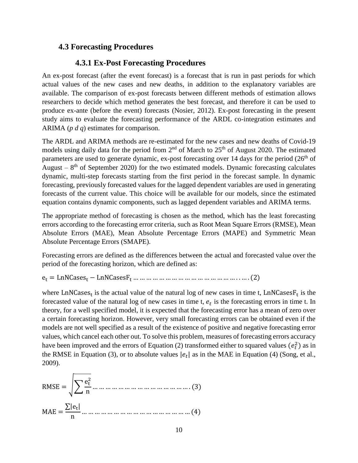#### **4.3 Forecasting Procedures**

#### **4.3.1 Ex-Post Forecasting Procedures**

An ex-post forecast (after the event forecast) is a forecast that is run in past periods for which actual values of the new cases and new deaths, in addition to the explanatory variables are available. The comparison of ex-post forecasts between different methods of estimation allows researchers to decide which method generates the best forecast, and therefore it can be used to produce ex-ante (before the event) forecasts (Nosier, 2012). Ex-post forecasting in the present study aims to evaluate the forecasting performance of the ARDL co-integration estimates and ARIMA (*p d q*) estimates for comparison.

The ARDL and ARIMA methods are re-estimated for the new cases and new deaths of Covid-19 models using daily data for the period from  $2<sup>nd</sup>$  of March to  $25<sup>th</sup>$  of August 2020. The estimated parameters are used to generate dynamic, ex-post forecasting over 14 days for the period (26<sup>th</sup> of August  $-8$ <sup>th</sup> of September 2020) for the two estimated models. Dynamic forecasting calculates dynamic, multi-step forecasts starting from the first period in the forecast sample. In dynamic forecasting, previously forecasted values for the lagged dependent variables are used in generating forecasts of the current value. This choice will be available for our models, since the estimated equation contains dynamic components, such as lagged dependent variables and ARIMA terms.

The appropriate method of forecasting is chosen as the method, which has the least forecasting errors according to the forecasting error criteria, such as Root Mean Square Errors (RMSE), Mean Absolute Errors (MAE), Mean Absolute Percentage Errors (MAPE) and Symmetric Mean Absolute Percentage Errors (SMAPE).

Forecasting errors are defined as the differences between the actual and forecasted value over the period of the forecasting horizon, which are defined as:

e<sup>t</sup> = LnNCases<sup>t</sup> − LnNCasesF<sup>t</sup> … … … … … … … … … … … … … … … … . . … . (2)

where LnNCases<sub>t</sub> is the actual value of the natural log of new cases in time t, LnNCases $F_t$  is the forecasted value of the natural log of new cases in time  $t$ ,  $e_t$  is the forecasting errors in time  $t$ . In theory, for a well specified model, it is expected that the forecasting error has a mean of zero over a certain forecasting horizon. However, very small forecasting errors can be obtained even if the models are not well specified as a result of the existence of positive and negative forecasting error values, which cancel each other out. To solve this problem, measures of forecasting errors accuracy have been improved and the errors of Equation (2) transformed either to squared values  $(e_t^2)$  as in the RMSE in Equation (3), or to absolute values  $|e_t|$  as in the MAE in Equation (4) (Song, et al., 2009).

RMSE = 
$$
\sqrt{\sum \frac{e_t^2}{n}}
$$
 .... ... .... ... .... ... .... ... .... ... (3)  
MAE =  $\frac{\sum |e_t|}{n}$  .... ... .... ... .... ... .... ... (4)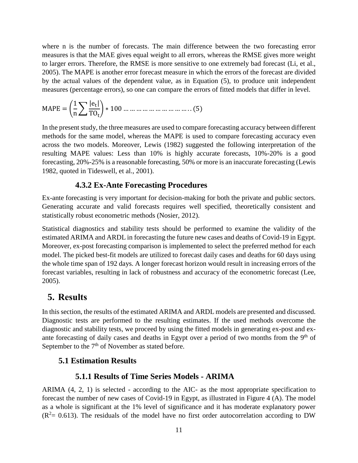where n is the number of forecasts. The main difference between the two forecasting error measures is that the MAE gives equal weight to all errors, whereas the RMSE gives more weight to larger errors. Therefore, the RMSE is more sensitive to one extremely bad forecast (Li, et al., 2005). The MAPE is another error forecast measure in which the errors of the forecast are divided by the actual values of the dependent value, as in Equation (5), to produce unit independent measures (percentage errors), so one can compare the errors of fitted models that differ in level.

$$
MAPE = \left(\frac{1}{n} \sum \frac{|e_t|}{T O_t}\right) * 100 \dots \dots \dots \dots \dots \dots \dots \dots \dots \dots \dots \dots \dots \tag{5}
$$

In the present study, the three measures are used to compare forecasting accuracy between different methods for the same model, whereas the MAPE is used to compare forecasting accuracy even across the two models. Moreover, Lewis (1982) suggested the following interpretation of the resulting MAPE values: Less than 10% is highly accurate forecasts, 10%-20% is a good forecasting, 20%-25% is a reasonable forecasting, 50% or more is an inaccurate forecasting (Lewis 1982, quoted in Tideswell, et al., 2001).

#### **4.3.2 Ex-Ante Forecasting Procedures**

Ex-ante forecasting is very important for decision-making for both the private and public sectors. Generating accurate and valid forecasts requires well specified, theoretically consistent and statistically robust econometric methods (Nosier, 2012).

Statistical diagnostics and stability tests should be performed to examine the validity of the estimated ARIMA and ARDL in forecasting the future new cases and deaths of Covid-19 in Egypt. Moreover, ex-post forecasting comparison is implemented to select the preferred method for each model. The picked best-fit models are utilized to forecast daily cases and deaths for 60 days using the whole time span of 192 days. A longer forecast horizon would result in increasing errors of the forecast variables, resulting in lack of robustness and accuracy of the econometric forecast (Lee, 2005).

#### **5. Results**

In this section, the results of the estimated ARIMA and ARDL models are presented and discussed. Diagnostic tests are performed to the resulting estimates. If the used methods overcome the diagnostic and stability tests, we proceed by using the fitted models in generating ex-post and exante forecasting of daily cases and deaths in Egypt over a period of two months from the 9<sup>th</sup> of September to the  $7<sup>th</sup>$  of November as stated before.

#### **5.1 Estimation Results**

#### **5.1.1 Results of Time Series Models - ARIMA**

ARIMA (4, 2, 1) is selected - according to the AIC- as the most appropriate specification to forecast the number of new cases of Covid-19 in Egypt, as illustrated in Figure 4 (A). The model as a whole is significant at the 1% level of significance and it has moderate explanatory power  $(R^2= 0.613)$ . The residuals of the model have no first order autocorrelation according to DW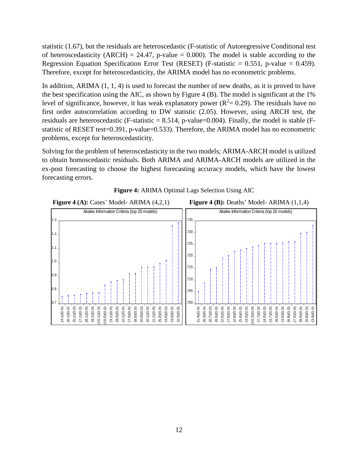statistic (1.67), but the residuals are heteroscedastic (F-statistic of Autoregressive Conditional test of heteroscedasticity (ARCH) = 24.47, p-value = 0.000). The model is stable according to the Regression Equation Specification Error Test (RESET) (F-statistic  $= 0.551$ , p-value  $= 0.459$ ). Therefore, except for heteroscedasticity, the ARIMA model has no econometric problems.

In addition, ARIMA  $(1, 1, 4)$  is used to forecast the number of new deaths, as it is proved to have the best specification using the AIC, as shown by Figure 4 (B). The model is significant at the 1% level of significance, however, it has weak explanatory power ( $R^2 = 0.29$ ). The residuals have no first order autocorrelation according to DW statistic (2.05). However, using ARCH test, the residuals are heteroscedastic (F-statistic  $= 8.514$ , p-value=0.004). Finally, the model is stable (Fstatistic of RESET test=0.391, p-value=0.533). Therefore, the ARIMA model has no econometric problems, except for heteroscedasticity.

Solving for the problem of heteroscedasticity in the two models; ARIMA-ARCH model is utilized to obtain homoscedastic residuals. Both ARIMA and ARIMA-ARCH models are utilized in the ex-post forecasting to choose the highest forecasting accuracy models, which have the lowest forecasting errors.



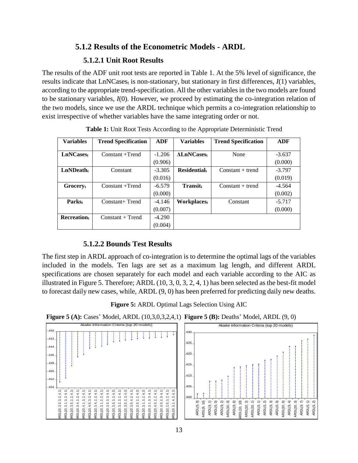### **5.1.2 Results of the Econometric Models - ARDL**

#### **5.1.2.1 Unit Root Results**

The results of the ADF unit root tests are reported in Table 1. At the 5% level of significance, the results indicate that LnNCases<sub>t</sub> is non-stationary, but stationary in first differences,  $I(1)$  variables, according to the appropriate trend-specification. All the other variables in the two models are found to be stationary variables, *I*(0). However, we proceed by estimating the co-integration relation of the two models, since we use the ARDL technique which permits a co-integration relationship to exist irrespective of whether variables have the same integrating order or not.

| <b>Variables</b>      | <b>Trend Specification</b> | <b>ADF</b> | <b>Variables</b>   | <b>Trend Specification</b> | ADF      |
|-----------------------|----------------------------|------------|--------------------|----------------------------|----------|
| LnNCases <sub>t</sub> | $Constant +Trend$          | $-1.206$   | <b>ALnNCases</b>   | None                       | $-3.637$ |
|                       |                            | (0.906)    |                    |                            | (0.000)  |
| $LnND$ eath $_t$      | Constant                   | $-3.305$   | <b>Residential</b> | $Constant + trend$         | $-3.797$ |
|                       |                            | (0.016)    |                    |                            | (0.019)  |
| Grocery               | Constant +Trend            | $-6.579$   | $Transit_t$        | $Constant + trend$         | $-4.564$ |
|                       |                            | (0.000)    |                    |                            | (0.002)  |
| <b>Parkst</b>         | Constant+ Trend            | $-4.146$   | Workplacest        | Constant                   | $-5.717$ |
|                       |                            | (0.007)    |                    |                            | (0.000)  |
| <b>Recreation</b>     | $Constant + Trend$         | $-4.290$   |                    |                            |          |
|                       |                            | (0.004)    |                    |                            |          |

**Table 1:** Unit Root Tests According to the Appropriate Deterministic Trend

#### **5.1.2.2 Bounds Test Results**

The first step in ARDL approach of co-integration is to determine the optimal lags of the variables included in the models. Ten lags are set as a maximum lag length, and different ARDL specifications are chosen separately for each model and each variable according to the AIC as illustrated in Figure 5. Therefore; ARDL (10, 3, 0, 3, 2, 4, 1) has been selected as the best-fit model to forecast daily new cases, while, ARDL (9, 0) has been preferred for predicting daily new deaths.



**Figure 5 (A):** Cases' Model, ARDL (10,3,0,3,2,4,1) **Figure 5 (B):** Deaths' Model, ARDL (9, 0)

|                | Akaike Information Criteria (top 20 models) |                 |                |                |             |                |                |              |                      |                      |                |                      |                      |                |             |                      |                |                |                         |                |
|----------------|---------------------------------------------|-----------------|----------------|----------------|-------------|----------------|----------------|--------------|----------------------|----------------------|----------------|----------------------|----------------------|----------------|-------------|----------------------|----------------|----------------|-------------------------|----------------|
| .440           |                                             |                 |                |                |             |                |                |              |                      |                      |                |                      |                      |                |             |                      |                |                |                         |                |
| .442           |                                             |                 |                |                |             |                |                |              |                      |                      |                |                      |                      |                |             |                      |                |                |                         |                |
| 444            |                                             |                 |                |                |             |                |                |              |                      |                      |                |                      |                      |                |             |                      |                |                |                         |                |
| .446           |                                             |                 |                |                |             |                |                |              |                      |                      |                |                      |                      |                |             |                      |                |                |                         |                |
| .448           |                                             |                 |                |                |             |                |                |              |                      |                      |                |                      |                      |                |             |                      |                |                |                         |                |
| $-.450$        |                                             |                 |                |                |             |                |                |              |                      |                      |                |                      |                      |                |             |                      |                |                |                         |                |
| $-452$<br>.454 |                                             |                 |                |                |             |                |                |              |                      |                      |                |                      |                      |                |             |                      |                |                |                         |                |
|                |                                             |                 |                |                |             |                |                |              |                      |                      |                |                      |                      |                |             |                      |                |                |                         |                |
|                |                                             | 4<br>Μĵ         | 4<br>ςî        | 4<br>$\sim$    | 4<br>2î     | 4<br>$\sim$    | 4              | 4<br>$\sim$  | 4                    | 4                    | 4<br>2.        | 4                    | 4.                   | 4<br>ςi        | 4<br>$\sim$ | 4                    | 4<br>$\sim$    | 4              |                         | 4<br>ςi        |
|                |                                             | 6<br>$\ddot{ }$ | $\sim$         | $\sim$         | 6<br>ſ,     | က်             | 2, 3,          | $\sim$<br>ť, |                      |                      | õ              |                      |                      | $\sim$         | ຕົ<br>÷     |                      | $\sim$         | 2, 3,          |                         | 4              |
|                |                                             |                 |                |                |             |                |                |              |                      |                      |                |                      |                      |                |             |                      |                |                |                         |                |
|                |                                             |                 |                |                |             |                |                |              |                      |                      |                |                      |                      |                |             |                      |                |                |                         |                |
|                | ARDL(10, 3, 0, 3, 2, 4,                     | ARDL(10, 3,     | ARDL(10, 3, 0, | ARDL(10, 3, 4, | ARDL(10, 4, | ARDL(10, 4, 0, | ARDL(10, 3, 4, | ARDL(10, 3,  | ARDL(10, 3, 0, 3, 3, | ARDL(10, 3, 0, 3, 2, | ARDL(10, 3, 2, | ARDL(10, 3, 0, 2, 3, | ARDL(10, 3, 0, 4, 2, | ARDL(10, 3, 0, | ARDL(10, 3, | ARDL(10, 3, 1, 3, 3, | ARDL(10, 4, 0, | ARDL(10, 3, 0, | ARDL(10, 2, 0, 3, 2, 4, | ARDL(10, 3, 1, |

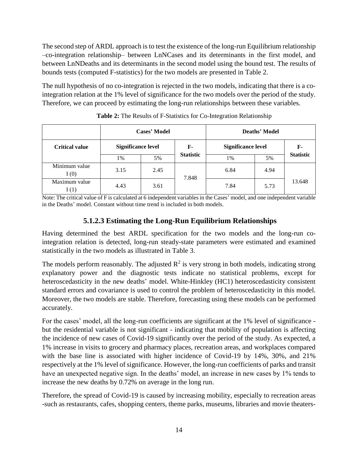The second step of ARDL approach is to test the existence of the long-run Equilibrium relationship –co-integration relationship– between LnNCases and its determinants in the first model, and between LnNDeaths and its determinants in the second model using the bound test. The results of bounds tests (computed F-statistics) for the two models are presented in Table 2.

The null hypothesis of no co-integration is rejected in the two models, indicating that there is a cointegration relation at the 1% level of significance for the two models over the period of the study. Therefore, we can proceed by estimating the long-run relationships between these variables.

|                       |                           | <b>Cases' Model</b> |                  | Deaths' Model             |      |                  |  |
|-----------------------|---------------------------|---------------------|------------------|---------------------------|------|------------------|--|
| <b>Critical value</b> | <b>Significance level</b> |                     | F-               | <b>Significance level</b> | F-   |                  |  |
|                       | 1%                        | 5%                  | <b>Statistic</b> | 1%                        | 5%   | <b>Statistic</b> |  |
| Minimum value<br>I(0) | 3.15                      | 2.45                | 7.848            | 6.84                      | 4.94 |                  |  |
| Maximum value<br>1(1) | 4.43                      | 3.61                |                  | 7.84                      | 5.73 | 13.648           |  |

**Table 2:** The Results of F-Statistics for Co-Integration Relationship

Note: The critical value of F is calculated at 6 independent variables in the Cases' model, and one independent variable in the Deaths' model. Constant without time trend is included in both models.

### **5.1.2.3 Estimating the Long-Run Equilibrium Relationships**

Having determined the best ARDL specification for the two models and the long-run cointegration relation is detected, long-run steady-state parameters were estimated and examined statistically in the two models as illustrated in Table 3.

The models perform reasonably. The adjusted  $R^2$  is very strong in both models, indicating strong explanatory power and the diagnostic tests indicate no statistical problems, except for heteroscedasticity in the new deaths' model. White-Hinkley (HC1) heteroscedasticity consistent standard errors and covariance is used to control the problem of heteroscedasticity in this model. Moreover, the two models are stable. Therefore, forecasting using these models can be performed accurately.

For the cases' model, all the long-run coefficients are significant at the 1% level of significance but the residential variable is not significant - indicating that mobility of population is affecting the incidence of new cases of Covid-19 significantly over the period of the study. As expected, a 1% increase in visits to grocery and pharmacy places, recreation areas, and workplaces compared with the base line is associated with higher incidence of Covid-19 by 14%, 30%, and 21% respectively at the 1% level of significance. However, the long-run coefficients of parks and transit have an unexpected negative sign. In the deaths' model, an increase in new cases by 1% tends to increase the new deaths by 0.72% on average in the long run.

Therefore, the spread of Covid-19 is caused by increasing mobility, especially to recreation areas -such as restaurants, cafes, shopping centers, theme parks, museums, libraries and movie theaters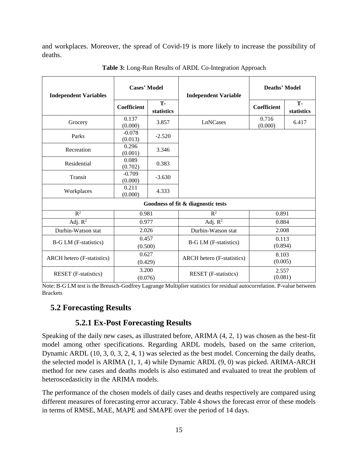and workplaces. Moreover, the spread of Covid-19 is more likely to increase the possibility of deaths.

| <b>Independent Variables</b>      | <b>Cases' Model</b> |                  | <b>Independent Variable</b>                      | Deaths' Model      |                  |  |
|-----------------------------------|---------------------|------------------|--------------------------------------------------|--------------------|------------------|--|
|                                   | Coefficient         | T-<br>statistics |                                                  | <b>Coefficient</b> | T-<br>statistics |  |
| Grocery                           | 0.137<br>(0.000)    | 3.857            | LnNCases                                         | 0.716<br>(0.000)   | 6.417            |  |
| Parks                             | $-0.078$<br>(0.013) | $-2.520$         |                                                  |                    |                  |  |
| Recreation                        | 0.296<br>(0.001)    | 3.346            |                                                  |                    |                  |  |
| Residential                       | 0.089<br>(0.702)    | 0.383            |                                                  |                    |                  |  |
| Transit                           | $-0.709$<br>(0.000) | $-3.630$         |                                                  |                    |                  |  |
| Workplaces                        | 0.211<br>(0.000)    | 4.333            |                                                  |                    |                  |  |
|                                   |                     |                  | Goodness of fit & diagnostic tests               |                    |                  |  |
| $R^2$                             | 0.981               |                  | $R^2$<br>0.891                                   |                    |                  |  |
| Adj. $R^2$                        | 0.977               |                  | Adj. $R^2$                                       | 0.884              |                  |  |
| Durbin-Watson stat                | 2.026               |                  | Durbin-Watson stat                               | 2.008              |                  |  |
| <b>B-G LM</b> (F-statistics)      | 0.457<br>(0.500)    |                  | 0.113<br><b>B-G LM</b> (F-statistics)<br>(0.894) |                    |                  |  |
| <b>ARCH</b> hetero (F-statistics) | 0.627<br>(0.429)    |                  | <b>ARCH</b> hetero (F-statistics)                | 8.103<br>(0.005)   |                  |  |
| <b>RESET</b> (F-statistics)       | 3.200<br>(0.076)    |                  | <b>RESET</b> (F-statistics)                      | 2.557<br>(0.081)   |                  |  |

**Table 3:** Long-Run Results of ARDL Co-Integration Approach

Note: B-G LM test is the Breusch-Godfrey Lagrange Multiplier statistics for residual autocorrelation. P-value between Brackets

### **5.2 Forecasting Results**

#### **5.2.1 Ex-Post Forecasting Results**

Speaking of the daily new cases, as illustrated before, ARIMA (4, 2, 1) was chosen as the best-fit model among other specifications. Regarding ARDL models, based on the same criterion, Dynamic ARDL (10, 3, 0, 3, 2, 4, 1) was selected as the best model. Concerning the daily deaths, the selected model is ARIMA (1, 1, 4) while Dynamic ARDL (9, 0) was picked. ARIMA-ARCH method for new cases and deaths models is also estimated and evaluated to treat the problem of heteroscedasticity in the ARIMA models.

The performance of the chosen models of daily cases and deaths respectively are compared using different measures of forecasting error accuracy. Table 4 shows the forecast error of these models in terms of RMSE, MAE, MAPE and SMAPE over the period of 14 days.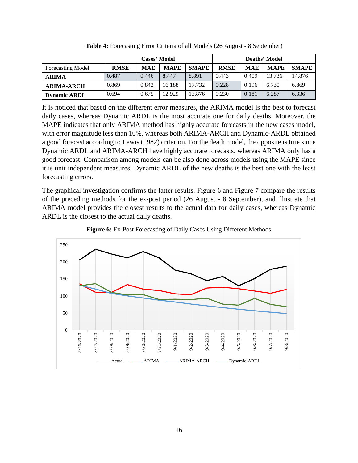|                          |             |            | Deaths' Model |              |             |            |             |              |
|--------------------------|-------------|------------|---------------|--------------|-------------|------------|-------------|--------------|
| <b>Forecasting Model</b> | <b>RMSE</b> | <b>MAE</b> | <b>MAPE</b>   | <b>SMAPE</b> | <b>RMSE</b> | <b>MAE</b> | <b>MAPE</b> | <b>SMAPE</b> |
| <b>ARIMA</b>             | 0.487       | 0.446      | 8.447         | 8.891        | 0.443       | 0.409      | 13.736      | 14.876       |
| <b>ARIMA-ARCH</b>        | 0.869       | 0.842      | 16.188        | 17.732       | 0.228       | 0.196      | 6.730       | 6.869        |
| <b>Dynamic ARDL</b>      | 0.694       | 0.675      | 12.929        | 13.876       | 0.230       | 0.181      | 6.287       | 6.336        |

**Table 4:** Forecasting Error Criteria of all Models (26 August - 8 September)

It is noticed that based on the different error measures, the ARIMA model is the best to forecast daily cases, whereas Dynamic ARDL is the most accurate one for daily deaths. Moreover, the MAPE indicates that only ARIMA method has highly accurate forecasts in the new cases model, with error magnitude less than 10%, whereas both ARIMA-ARCH and Dynamic-ARDL obtained a good forecast according to Lewis (1982) criterion. For the death model, the opposite is true since Dynamic ARDL and ARIMA-ARCH have highly accurate forecasts, whereas ARIMA only has a good forecast. Comparison among models can be also done across models using the MAPE since it is unit independent measures. Dynamic ARDL of the new deaths is the best one with the least forecasting errors.

The graphical investigation confirms the latter results. Figure 6 and Figure 7 compare the results of the preceding methods for the ex-post period (26 August - 8 September), and illustrate that ARIMA model provides the closest results to the actual data for daily cases, whereas Dynamic ARDL is the closest to the actual daily deaths.



**Figure 6:** Ex-Post Forecasting of Daily Cases Using Different Methods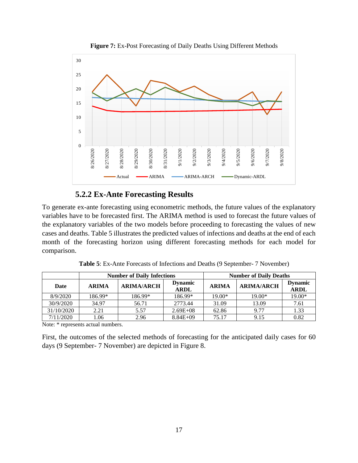

**Figure 7:** Ex-Post Forecasting of Daily Deaths Using Different Methods

### **5.2.2 Ex-Ante Forecasting Results**

To generate ex-ante forecasting using econometric methods, the future values of the explanatory variables have to be forecasted first. The ARIMA method is used to forecast the future values of the explanatory variables of the two models before proceeding to forecasting the values of new cases and deaths. Table 5 illustrates the predicted values of infections and deaths at the end of each month of the forecasting horizon using different forecasting methods for each model for comparison.

|            |              | <b>Number of Daily Infections</b> | <b>Number of Daily Deaths</b> |              |                   |                               |  |
|------------|--------------|-----------------------------------|-------------------------------|--------------|-------------------|-------------------------------|--|
| Date       | <b>ARIMA</b> | <b>ARIMA/ARCH</b>                 | <b>Dynamic</b><br><b>ARDL</b> | <b>ARIMA</b> | <b>ARIMA/ARCH</b> | <b>Dynamic</b><br><b>ARDL</b> |  |
| 8/9/2020   | 186.99*      | 186.99*                           | 186.99*                       | $19.00*$     | $19.00*$          | 19.00*                        |  |
| 30/9/2020  | 34.97        | 56.71                             | 2773.44                       | 31.09        | 13.09             | 7.61                          |  |
| 31/10/2020 | 2.21         | 5.57                              | $2.69E + 08$                  | 62.86        | 9.77              | 1.33                          |  |

7/11/2020 1.06 2.96 8.84E+09 75.17 9.15 0.82

**Table 5**: Ex-Ante Forecasts of Infections and Deaths (9 September- 7 November)

Note: \* represents actual numbers.

First, the outcomes of the selected methods of forecasting for the anticipated daily cases for 60 days (9 September- 7 November) are depicted in Figure 8.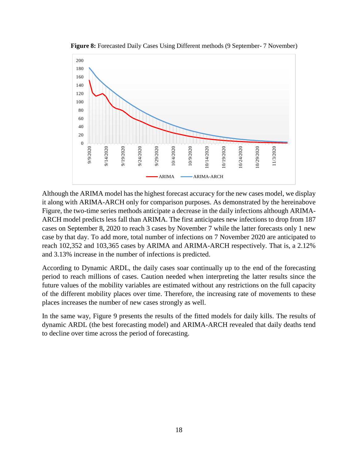

**Figure 8:** Forecasted Daily Cases Using Different methods (9 September- 7 November)

Although the ARIMA model has the highest forecast accuracy for the new cases model, we display it along with ARIMA-ARCH only for comparison purposes. As demonstrated by the hereinabove Figure, the two-time series methods anticipate a decrease in the daily infections although ARIMA-ARCH model predicts less fall than ARIMA. The first anticipates new infections to drop from 187 cases on September 8, 2020 to reach 3 cases by November 7 while the latter forecasts only 1 new case by that day. To add more, total number of infections on 7 November 2020 are anticipated to reach 102,352 and 103,365 cases by ARIMA and ARIMA-ARCH respectively. That is, a 2.12% and 3.13% increase in the number of infections is predicted.

According to Dynamic ARDL, the daily cases soar continually up to the end of the forecasting period to reach millions of cases. Caution needed when interpreting the latter results since the future values of the mobility variables are estimated without any restrictions on the full capacity of the different mobility places over time. Therefore, the increasing rate of movements to these places increases the number of new cases strongly as well.

In the same way, Figure 9 presents the results of the fitted models for daily kills. The results of dynamic ARDL (the best forecasting model) and ARIMA-ARCH revealed that daily deaths tend to decline over time across the period of forecasting.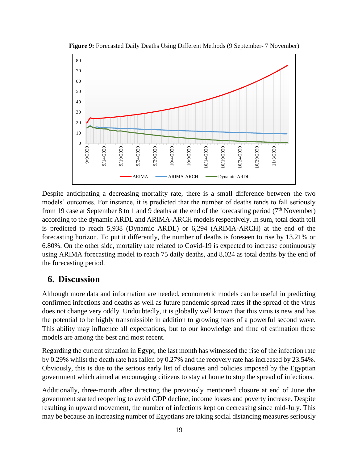

**Figure 9:** Forecasted Daily Deaths Using Different Methods (9 September- 7 November)

Despite anticipating a decreasing mortality rate, there is a small difference between the two models' outcomes. For instance, it is predicted that the number of deaths tends to fall seriously from 19 case at September 8 to 1 and 9 deaths at the end of the forecasting period ( $7<sup>th</sup>$  November) according to the dynamic ARDL and ARIMA-ARCH models respectively. In sum, total death toll is predicted to reach 5,938 (Dynamic ARDL) or 6,294 (ARIMA-ARCH) at the end of the forecasting horizon. To put it differently, the number of deaths is foreseen to rise by 13.21% or 6.80%. On the other side, mortality rate related to Covid-19 is expected to increase continuously using ARIMA forecasting model to reach 75 daily deaths, and 8,024 as total deaths by the end of the forecasting period.

### **6. Discussion**

Although more data and information are needed, econometric models can be useful in predicting confirmed infections and deaths as well as future pandemic spread rates if the spread of the virus does not change very oddly. Undoubtedly, it is globally well known that this virus is new and has the potential to be highly transmissible in addition to growing fears of a powerful second wave. This ability may influence all expectations, but to our knowledge and time of estimation these models are among the best and most recent.

Regarding the current situation in Egypt, the last month has witnessed the rise of the infection rate by 0.29% whilst the death rate has fallen by 0.27% and the recovery rate has increased by 23.54%. Obviously, this is due to the serious early list of closures and policies imposed by the Egyptian government which aimed at encouraging citizens to stay at home to stop the spread of infections.

Additionally, three-month after directing the previously mentioned closure at end of June the government started reopening to avoid GDP decline, income losses and poverty increase. Despite resulting in upward movement, the number of infections kept on decreasing since mid-July. This may be because an increasing number of Egyptians are taking social distancing measures seriously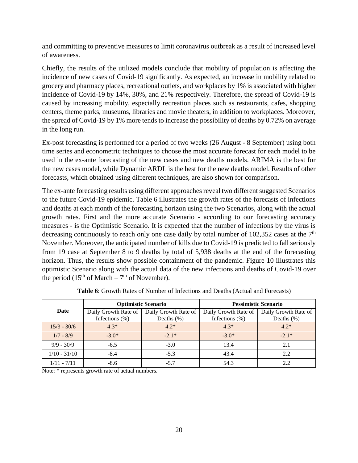and committing to preventive measures to limit coronavirus outbreak as a result of increased level of awareness.

Chiefly, the results of the utilized models conclude that mobility of population is affecting the incidence of new cases of Covid-19 significantly. As expected, an increase in mobility related to grocery and pharmacy places, recreational outlets, and workplaces by 1% is associated with higher incidence of Covid-19 by 14%, 30%, and 21% respectively. Therefore, the spread of Covid-19 is caused by increasing mobility, especially recreation places such as restaurants, cafes, shopping centers, theme parks, museums, libraries and movie theaters, in addition to workplaces. Moreover, the spread of Covid-19 by 1% more tends to increase the possibility of deaths by 0.72% on average in the long run.

Ex-post forecasting is performed for a period of two weeks (26 August - 8 September) using both time series and econometric techniques to choose the most accurate forecast for each model to be used in the ex-ante forecasting of the new cases and new deaths models. ARIMA is the best for the new cases model, while Dynamic ARDL is the best for the new deaths model. Results of other forecasts, which obtained using different techniques, are also shown for comparison.

The ex-ante forecasting results using different approaches reveal two different suggested Scenarios to the future Covid-19 epidemic. Table 6 illustrates the growth rates of the forecasts of infections and deaths at each month of the forecasting horizon using the two Scenarios, along with the actual growth rates. First and the more accurate Scenario - according to our forecasting accuracy measures - is the Optimistic Scenario. It is expected that the number of infections by the virus is decreasing continuously to reach only one case daily by total number of 102,352 cases at the  $7<sup>th</sup>$ November. Moreover, the anticipated number of kills due to Covid-19 is predicted to fall seriously from 19 case at September 8 to 9 deaths by total of 5,938 deaths at the end of the forecasting horizon. Thus, the results show possible containment of the pandemic. Figure 10 illustrates this optimistic Scenario along with the actual data of the new infections and deaths of Covid-19 over the period (15<sup>th</sup> of March –  $7<sup>th</sup>$  of November).

|                |                      | <b>Optimistic Scenario</b> | <b>Pessimistic Scenario</b> |                      |  |  |
|----------------|----------------------|----------------------------|-----------------------------|----------------------|--|--|
| Date           | Daily Growth Rate of | Daily Growth Rate of       | Daily Growth Rate of        | Daily Growth Rate of |  |  |
|                | Infections $(\%)$    | Deaths $(\%)$              | Infections $(\%)$           | Deaths $(\% )$       |  |  |
| $15/3 - 30/6$  | $4.3*$               | $4.2*$                     | $4.3*$                      | $4.2*$               |  |  |
| $1/7 - 8/9$    | $-3.0*$              | $-2.1*$                    | $-3.0*$                     | $-2.1*$              |  |  |
| $9/9 - 30/9$   | $-6.5$               | $-3.0$                     | 13.4                        | 2.1                  |  |  |
| $1/10 - 31/10$ | $-8.4$               | $-5.3$                     | 43.4                        | 2.2                  |  |  |
| $1/11 - 7/11$  | -8.6                 | $-5.7$                     | 54.3                        |                      |  |  |

**Table 6**: Growth Rates of Number of Infections and Deaths (Actual and Forecasts)

Note: \* represents growth rate of actual numbers.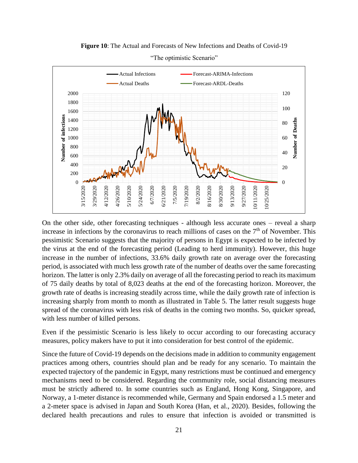**Figure 10**: The Actual and Forecasts of New Infections and Deaths of Covid-19



"The optimistic Scenario"

On the other side, other forecasting techniques - although less accurate ones – reveal a sharp increase in infections by the coronavirus to reach millions of cases on the  $7<sup>th</sup>$  of November. This pessimistic Scenario suggests that the majority of persons in Egypt is expected to be infected by the virus at the end of the forecasting period (Leading to herd immunity). However, this huge increase in the number of infections, 33.6% daily growth rate on average over the forecasting period, is associated with much less growth rate of the number of deaths over the same forecasting horizon. The latter is only 2.3% daily on average of all the forecasting period to reach its maximum of 75 daily deaths by total of 8,023 deaths at the end of the forecasting horizon. Moreover, the growth rate of deaths is increasing steadily across time, while the daily growth rate of infection is increasing sharply from month to month as illustrated in Table 5. The latter result suggests huge spread of the coronavirus with less risk of deaths in the coming two months. So, quicker spread, with less number of killed persons.

Even if the pessimistic Scenario is less likely to occur according to our forecasting accuracy measures, policy makers have to put it into consideration for best control of the epidemic.

Since the future of Covid-19 depends on the decisions made in addition to community engagement practices among others, countries should plan and be ready for any scenario. To maintain the expected trajectory of the pandemic in Egypt, many restrictions must be continued and emergency mechanisms need to be considered. Regarding the community role, social distancing measures must be strictly adhered to. In some countries such as England, Hong Kong, Singapore, and Norway, a 1-meter distance is recommended while, Germany and Spain endorsed a 1.5 meter and a 2-meter space is advised in Japan and South Korea (Han, et al., 2020). Besides, following the declared health precautions and rules to ensure that infection is avoided or transmitted is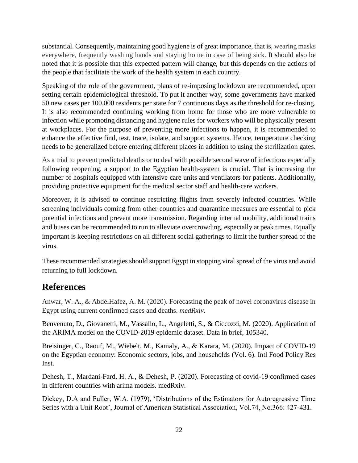substantial. Consequently, maintaining good hygiene is of great importance, that is, wearing masks everywhere, frequently washing hands and staying home in case of being sick. It should also be noted that it is possible that this expected pattern will change, but this depends on the actions of the people that facilitate the work of the health system in each country.

Speaking of the role of the government, plans of re-imposing lockdown are recommended, upon setting certain epidemiological threshold. To put it another way, some governments have marked 50 new cases per 100,000 residents per state for 7 continuous days as the threshold for re-closing. It is also recommended continuing working from home for those who are more vulnerable to infection while promoting distancing and hygiene rules for workers who will be physically present at workplaces. For the purpose of preventing more infections to happen, it is recommended to enhance the effective find, test, trace, isolate, and support systems. Hence, temperature checking needs to be generalized before entering different places in addition to using the sterilization gates.

As a trial to prevent predicted deaths or to deal with possible second wave of infections especially following reopening, a support to the Egyptian health-system is crucial. That is increasing the number of hospitals equipped with intensive care units and ventilators for patients. Additionally, providing protective equipment for the medical sector staff and health-care workers.

Moreover, it is advised to continue restricting flights from severely infected countries. While screening individuals coming from other countries and quarantine measures are essential to pick potential infections and prevent more transmission. Regarding internal mobility, additional trains and buses can be recommended to run to alleviate overcrowding, especially at peak times. Equally important is keeping restrictions on all different social gatherings to limit the further spread of the virus.

These recommended strategies should support Egypt in stopping viral spread of the virus and avoid returning to full lockdown.

# **References**

Anwar, W. A., & AbdelHafez, A. M. (2020). Forecasting the peak of novel coronavirus disease in Egypt using current confirmed cases and deaths. *medRxiv*.

Benvenuto, D., Giovanetti, M., Vassallo, L., Angeletti, S., & Ciccozzi, M. (2020). Application of the ARIMA model on the COVID-2019 epidemic dataset. Data in brief, 105340.

Breisinger, C., Raouf, M., Wiebelt, M., Kamaly, A., & Karara, M. (2020). Impact of COVID-19 on the Egyptian economy: Economic sectors, jobs, and households (Vol. 6). Intl Food Policy Res Inst.

Dehesh, T., Mardani-Fard, H. A., & Dehesh, P. (2020). Forecasting of covid-19 confirmed cases in different countries with arima models. medRxiv.

Dickey, D.A and Fuller, W.A. (1979), 'Distributions of the Estimators for Autoregressive Time Series with a Unit Root', Journal of American Statistical Association, Vol.74, No.366: 427-431.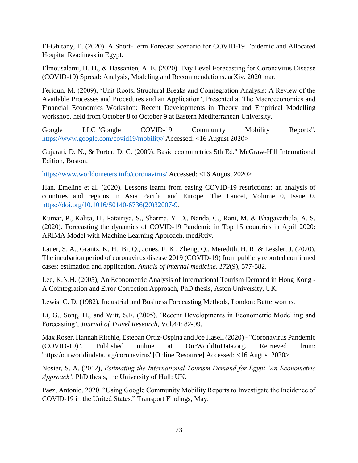El-Ghitany, E. (2020). A Short-Term Forecast Scenario for COVID-19 Epidemic and Allocated Hospital Readiness in Egypt.

Elmousalami, H. H., & Hassanien, A. E. (2020). Day Level Forecasting for Coronavirus Disease (COVID-19) Spread: Analysis, Modeling and Recommendations. arXiv. 2020 mar.

Feridun, M. (2009), 'Unit Roots, Structural Breaks and Cointegration Analysis: A Review of the Available Processes and Procedures and an Application', Presented at The Macroeconomics and Financial Economics Workshop: Recent Developments in Theory and Empirical Modelling workshop, held from October 8 to October 9 at Eastern Mediterranean University.

Google LLC "Google COVID-19 Community Mobility Reports". <https://www.google.com/covid19/mobility/> Accessed: <16 August 2020>

Gujarati, D. N., & Porter, D. C. (2009). Basic econometrics 5th Ed." McGraw-Hill International Edition, Boston.

<https://www.worldometers.info/coronavirus/> Accessed: <16 August 2020>

Han, Emeline et al. (2020). Lessons learnt from easing COVID-19 restrictions: an analysis of countries and regions in Asia Pacific and Europe. The Lancet, Volume 0, Issue 0. [https://doi.org/10.1016/S0140-6736\(20\)32007-9.](https://doi.org/10.1016/S0140-6736(20)32007-9)

Kumar, P., Kalita, H., Patairiya, S., Sharma, Y. D., Nanda, C., Rani, M. & Bhagavathula, A. S. (2020). Forecasting the dynamics of COVID-19 Pandemic in Top 15 countries in April 2020: ARIMA Model with Machine Learning Approach. medRxiv.

Lauer, S. A., Grantz, K. H., Bi, Q., Jones, F. K., Zheng, Q., Meredith, H. R. & Lessler, J. (2020). The incubation period of coronavirus disease 2019 (COVID-19) from publicly reported confirmed cases: estimation and application. *Annals of internal medicine*, *172*(9), 577-582.

Lee, K.N.H. (2005), An Econometric Analysis of International Tourism Demand in Hong Kong - A Cointegration and Error Correction Approach, PhD thesis, Aston University, UK.

Lewis, C. D. (1982), Industrial and Business Forecasting Methods, London: Butterworths.

Li, G., Song, H., and Witt, S.F. (2005), 'Recent Developments in Econometric Modelling and Forecasting', *Journal of Travel Research*, Vol.44: 82-99.

Max Roser, Hannah Ritchie, Esteban Ortiz-Ospina and Joe Hasell (2020) - "Coronavirus Pandemic (COVID-19)". Published online at OurWorldInData.org. Retrieved from: 'https:/ourworldindata.org/coronavirus' [Online Resource] Accessed: <16 August 2020>

Nosier, S. A. (2012), *Estimating the International Tourism Demand for Egypt 'An Econometric Approach'*, PhD thesis, the University of Hull: UK.

Paez, Antonio. 2020. "Using Google Community Mobility Reports to Investigate the Incidence of COVID-19 in the United States." Transport Findings, May.